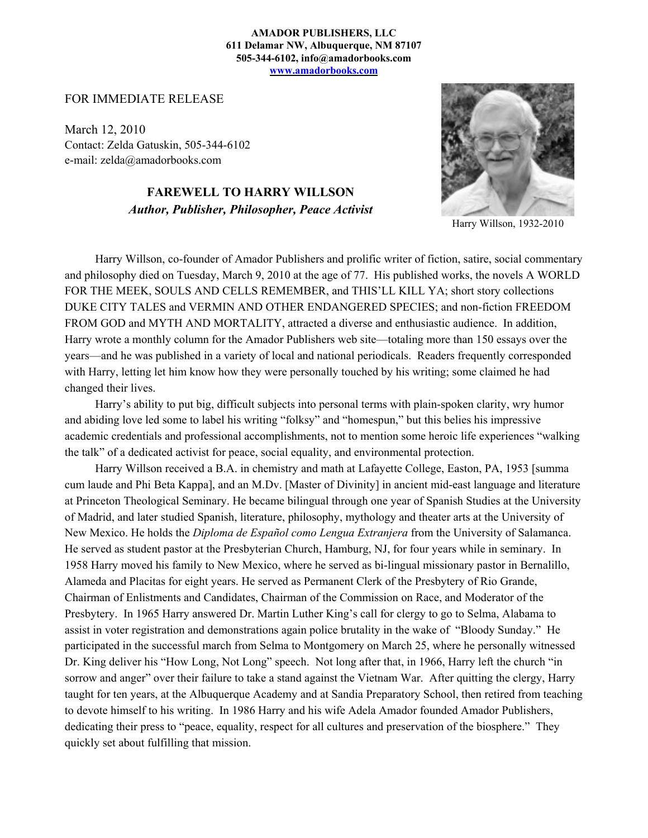## **AMADOR PUBLISHERS, LLC 611 Delamar NW, Albuquerque, NM 87107 505-344-6102, info@amadorbooks.com www.amadorbooks.com**

FOR IMMEDIATE RELEASE

March 12, 2010 Contact: Zelda Gatuskin, 505-344-6102 e-mail: zelda@amadorbooks.com

> **FAREWELL TO HARRY WILLSON** *Author, Publisher, Philosopher, Peace Activist*



Harry Willson, 1932-2010

Harry Willson, co-founder of Amador Publishers and prolific writer of fiction, satire, social commentary and philosophy died on Tuesday, March 9, 2010 at the age of 77. His published works, the novels A WORLD FOR THE MEEK, SOULS AND CELLS REMEMBER, and THIS'LL KILL YA; short story collections DUKE CITY TALES and VERMIN AND OTHER ENDANGERED SPECIES; and non-fiction FREEDOM FROM GOD and MYTH AND MORTALITY, attracted a diverse and enthusiastic audience. In addition, Harry wrote a monthly column for the Amador Publishers web site—totaling more than 150 essays over the years—and he was published in a variety of local and national periodicals. Readers frequently corresponded with Harry, letting let him know how they were personally touched by his writing; some claimed he had changed their lives.

Harry's ability to put big, difficult subjects into personal terms with plain-spoken clarity, wry humor and abiding love led some to label his writing "folksy" and "homespun," but this belies his impressive academic credentials and professional accomplishments, not to mention some heroic life experiences "walking the talk" of a dedicated activist for peace, social equality, and environmental protection.

Harry Willson received a B.A. in chemistry and math at Lafayette College, Easton, PA, 1953 [summa cum laude and Phi Beta Kappa], and an M.Dv. [Master of Divinity] in ancient mid-east language and literature at Princeton Theological Seminary. He became bilingual through one year of Spanish Studies at the University of Madrid, and later studied Spanish, literature, philosophy, mythology and theater arts at the University of New Mexico. He holds the *Diploma de Español como Lengua Extranjera* from the University of Salamanca. He served as student pastor at the Presbyterian Church, Hamburg, NJ, for four years while in seminary. In 1958 Harry moved his family to New Mexico, where he served as bi-lingual missionary pastor in Bernalillo, Alameda and Placitas for eight years. He served as Permanent Clerk of the Presbytery of Rio Grande, Chairman of Enlistments and Candidates, Chairman of the Commission on Race, and Moderator of the Presbytery. In 1965 Harry answered Dr. Martin Luther King's call for clergy to go to Selma, Alabama to assist in voter registration and demonstrations again police brutality in the wake of "Bloody Sunday." He participated in the successful march from Selma to Montgomery on March 25, where he personally witnessed Dr. King deliver his "How Long, Not Long" speech. Not long after that, in 1966, Harry left the church "in sorrow and anger" over their failure to take a stand against the Vietnam War. After quitting the clergy, Harry taught for ten years, at the Albuquerque Academy and at Sandia Preparatory School, then retired from teaching to devote himself to his writing. In 1986 Harry and his wife Adela Amador founded Amador Publishers, dedicating their press to "peace, equality, respect for all cultures and preservation of the biosphere." They quickly set about fulfilling that mission.